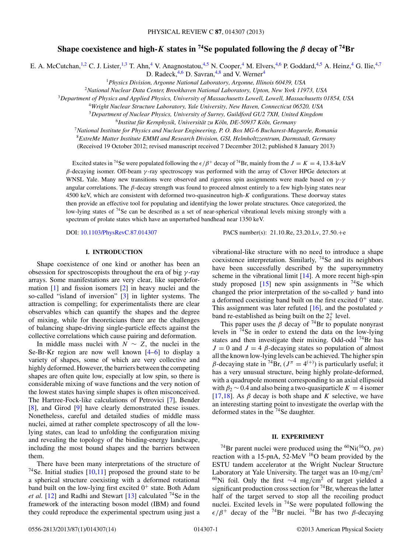# **Shape coexistence and high-***K* states in <sup>74</sup>Se populated following the  $\beta$  decay of <sup>74</sup>Br

E. A. McCutchan,<sup>1,2</sup> C. J. Lister,<sup>1,3</sup> T. Ahn,<sup>4</sup> V. Anagnostatou,<sup>4,5</sup> N. Cooper,<sup>4</sup> M. Elvers,<sup>4,6</sup> P. Goddard,<sup>4,5</sup> A. Heinz,<sup>4</sup> G. Ilie,<sup>4,7</sup>

D. Radeck,  $4.6$  D. Savran,  $4.8$  and V. Werner  $4$ 

<sup>1</sup>*Physics Division, Argonne National Laboratory, Argonne, Illinois 60439, USA*

<sup>2</sup>*National Nuclear Data Center, Brookhaven National Laboratory, Upton, New York 11973, USA*

<sup>3</sup>*Department of Physics and Applied Physics, University of Massachusetts Lowell, Lowell, Massachusetts 01854, USA*

<sup>4</sup>*Wright Nuclear Structure Laboratory, Yale University, New Haven, Connecticut 06520, USA*

<sup>5</sup>*Department of Nuclear Physics, University of Surrey, Guildford GU2 7XH, United Kingdom*

<sup>6</sup>*Institut fur Kernphysik, Universit ¨ at zu K ¨ oln, DE-50937 K ¨ oln, Germany ¨*

<sup>7</sup>*National Institute for Physics and Nuclear Engineering, P. O. Box MG-6 Bucharest-Magurele, Romania*

<sup>8</sup>*ExtreMe Matter Institute EMMI and Research Division, GSI, Helmholtzzentrum, Darmstadt, Germany*

(Received 19 October 2012; revised manuscript received 7 December 2012; published 8 January 2013)

Excited states in <sup>74</sup>Se were populated following the  $\epsilon/\beta^+$  decay of <sup>74</sup>Br, mainly from the  $J = K = 4, 13.8$ -keV *β*-decaying isomer. Off-beam *γ* -ray spectroscopy was performed with the array of Clover HPGe detectors at WNSL Yale. Many new transitions were observed and rigorous spin assignments were made based on *γ* -*γ* angular correlations. The *β*-decay strength was found to proceed almost entirely to a few high-lying states near 4500 keV, which are consistent with deformed two-quasineutron high-*K* configurations. These doorway states then provide an effective tool for populating and identifying the lower prolate structures. Once categorized, the low-lying states of <sup>74</sup>Se can be described as a set of near-spherical vibrational levels mixing strongly with a spectrum of prolate states which have an unperturbed bandhead near 1350 keV.

DOI: [10.1103/PhysRevC.87.014307](http://dx.doi.org/10.1103/PhysRevC.87.014307) PACS number(s): 21*.*10*.*Re, 23*.*20*.*Lv, 27*.*50*.*+e

## **I. INTRODUCTION**

Shape coexistence of one kind or another has been an obsession for spectroscopists throughout the era of big *γ* -ray arrays. Some manifestations are very clear, like superdeformation [\[1\]](#page-13-0) and fission isomers [\[2\]](#page-13-0) in heavy nuclei and the so-called "island of inversion" [\[3\]](#page-13-0) in lighter systems. The attraction is compelling; for experimentalists there are clear observables which can quantify the shapes and the degree of mixing, while for theoreticians there are the challenges of balancing shape-driving single-particle effects against the collective correlations which cause pairing and deformation.

In middle mass nuclei with  $N \sim Z$ , the nuclei in the Se-Br-Kr region are now well known  $[4-6]$  to display a variety of shapes, some of which are very collective and highly deformed. However, the barriers between the competing shapes are often quite low, especially at low spin, so there is considerable mixing of wave functions and the very notion of the lowest states having simple shapes is often misconceived. The Hartree-Fock-like calculations of Petrovici [\[7\]](#page-13-0), Bender [\[8\]](#page-13-0), and Girod [\[9\]](#page-13-0) have clearly demonstrated these issues. Nonetheless, careful and detailed studies of middle mass nuclei, aimed at rather complete spectroscopy of all the lowlying states, can lead to unfolding the configuration mixing and revealing the topology of the binding-energy landscape, including the most bound shapes and the barriers between them.

There have been many interpretations of the structure of <sup>74</sup>Se. Initial studies  $[10,11]$  proposed the ground state to be a spherical structure coexisting with a deformed rotational band built on the low-lying first excited  $0^+$  state. Both Adam *et al.* [\[12\]](#page-13-0) and Radhi and Stewart [\[13\]](#page-13-0) calculated  $^{74}$ Se in the framework of the interacting boson model (IBM) and found they could reproduce the experimental spectrum using just a

vibrational-like structure with no need to introduce a shape coexistence interpretation. Similarly,  $^{74}$ Se and its neighbors have been successfully described by the supersymmetry scheme in the vibrational limit  $[14]$ . A more recent high-spin study proposed  $[15]$  new spin assignments in <sup>74</sup>Se which changed the prior interpretation of the so-called  $\gamma$  band into a deformed coexisting band built on the first excited  $0^+$  state. This assignment was later refuted [\[16\]](#page-13-0), and the postulated *γ* band re-established as being built on the  $2^+_2$  level.

This paper uses the  $\beta$  decay of <sup>74</sup>Br to populate nonyrast levels in  $74$ Se in order to extend the data on the low-lying states and then investigate their mixing. Odd-odd 74Br has  $J = 0$  and  $J = 4$   $\beta$ -decaying states so population of almost all the known low-lying levels can be achieved. The higher spin *β*-decaying state in <sup>74</sup>Br,  $(J^{\pi} = 4^{(+)})$  is particularly useful; it has a very unusual structure, being highly prolate-deformed, with a quadrupole moment corresponding to an axial ellipsoid with  $\beta_2$  ~ 0.4 and also being a two-quasiparticle  $K = 4$  isomer [\[17,18\]](#page-13-0). As  $\beta$  decay is both shape and *K* selective, we have an interesting starting point to investigate the overlap with the deformed states in the <sup>74</sup>Se daughter.

## **II. EXPERIMENT**

<sup>74</sup>Br parent nuclei were produced using the <sup>60</sup>Ni(<sup>16</sup>O, *pn*) reaction with a 15-pnA, 52-MeV <sup>16</sup>O beam provided by the ESTU tandem accelerator at the Wright Nuclear Structure Laboratory at Yale University. The target was an 10-mg*/*cm2 60Ni foil. Only the first <sup>∼</sup>4 mg*/*cm2 of target yielded a significant production cross section for  $74$ Br, whereas the latter half of the target served to stop all the recoiling product nuclei. Excited levels in  $74$ Se were populated following the  $\epsilon/\beta^+$  decay of the <sup>74</sup>Br nuclei. <sup>74</sup>Br has two *β*-decaying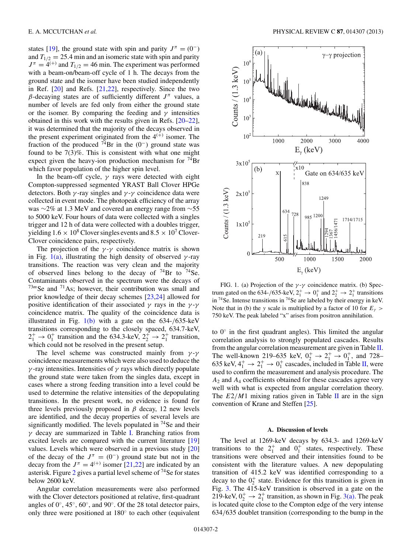states [\[19\]](#page-13-0), the ground state with spin and parity  $J^{\pi} = (0^{-})$ and  $T_{1/2} = 25.4$  min and an isomeric state with spin and parity  $J^{\pi} = 4^{(+)}$  and  $T_{1/2} = 46$  min. The experiment was performed with a beam-on/beam-off cycle of 1 h. The decays from the ground state and the isomer have been studied independently in Ref. [\[20\]](#page-13-0) and Refs. [\[21,22\]](#page-13-0), respectively. Since the two *β*-decaying states are of sufficiently different  $J^π$  values, a number of levels are fed only from either the ground state or the isomer. By comparing the feeding and  $\gamma$  intensities obtained in this work with the results given in Refs. [\[20–22\]](#page-13-0), it was determined that the majority of the decays observed in the present experiment originated from the  $4^{(+)}$  isomer. The fraction of the produced  $^{74}Br$  in the (0<sup>-</sup>) ground state was found to be 7(3)%. This is consistent with what one might expect given the heavy-ion production mechanism for  $^{74}Br$ which favor population of the higher spin level.

In the beam-off cycle, *γ* rays were detected with eight Compton-suppressed segmented YRAST Ball Clover HPGe detectors. Both  $\gamma$ -ray singles and  $\gamma$ - $\gamma$  coincidence data were collected in event mode. The photopeak efficiency of the array was ∼2% at 1.3 MeV and covered an energy range from ∼55 to 5000 keV. Four hours of data were collected with a singles trigger and 12 h of data were collected with a doubles trigger, yielding  $1.6 \times 10^8$  Clover singles events and  $8.5 \times 10^7$  Clover-Clover coincidence pairs, respectively.

The projection of the  $\gamma$ - $\gamma$  coincidence matrix is shown in Fig.  $1(a)$ , illustrating the high density of observed *γ*-ray transitions. The reaction was very clean and the majority of observed lines belong to the decay of  $^{74}Br$  to  $^{74}Se$ . Contaminants observed in the spectrum were the decays of  $73m$ Se and  $71$ As; however, their contribution was small and prior knowledge of their decay schemes [\[23,24\]](#page-13-0) allowed for positive identification of their associated *γ* rays in the *γ* -*γ* coincidence matrix. The quality of the coincidence data is illustrated in Fig. 1(b) with a gate on the 634-*/*635-keV transitions corresponding to the closely spaced, 634.7-keV,  $2_1^+ \rightarrow 0_1^+$  transition and the 634.3-keV,  $2_2^+ \rightarrow 2_1^+$  transition, which could not be resolved in the present setup.

The level scheme was constructed mainly from *γ* -*γ* coincidence measurements which were also used to deduce the *γ* -ray intensities. Intensities of *γ* rays which directly populate the ground state were taken from the singles data, except in cases where a strong feeding transition into a level could be used to determine the relative intensities of the depopulating transitions. In the present work, no evidence is found for three levels previously proposed in  $\beta$  decay, 12 new levels are identified, and the decay properties of several levels are significantly modified. The levels populated in  $74$ Se and their *γ* decay are summarized in Table [I.](#page-2-0) Branching ratios from excited levels are compared with the current literature [\[19\]](#page-13-0) values. Levels which were observed in a previous study [\[20\]](#page-13-0) of the decay of the  $J^{\pi} = (0^{-})$  ground state but not in the decay from the  $J^{\pi} = 4^{(+)}$  isomer [\[21,22\]](#page-13-0) are indicated by an asterisk. Figure [2](#page-6-0) gives a partial level scheme of 74Se for states below 2600 keV.

Angular correlation measurements were also performed with the Clover detectors positioned at relative, first-quadrant angles of 0◦, 45◦, 60◦, and 90◦. Of the 28 total detector pairs, only three were positioned at 180◦ to each other (equivalent



FIG. 1. (a) Projection of the *γ* -*γ* coincidence matrix. (b) Spectrum gated on the 634-/635-keV,  $2_1^+ \rightarrow 0_1^+$  and  $2_2^+ \rightarrow 2_1^+$  transitions in  $^{74}$ Se. Intense transitions in  $^{74}$ Se are labeled by their energy in keV. Note that in (b) the *y* scale is multiplied by a factor of 10 for  $E_y$ 750 keV. The peak labeled "x" arises from positron annihilation.

to  $0^\circ$  in the first quadrant angles). This limited the angular correlation analysis to strongly populated cascades. Results from the angular correlation measurement are given in Table [II.](#page-7-0) The well-known 219–635 keV,  $0_2^+ \rightarrow 2_1^+ \rightarrow 0_1^+$ , and 728– 635 keV,  $4_1^+$   $\rightarrow$   $2_1^+$   $\rightarrow$  0<sup>+</sup> cascades, included in Table [II,](#page-7-0) were used to confirm the measurement and analysis procedure. The *A*<sup>2</sup> and *A*<sup>4</sup> coefficients obtained for these cascades agree very well with what is expected from angular correlation theory. The  $E2/M1$  mixing ratios given in Table [II](#page-7-0) are in the sign convention of Krane and Steffen [\[25\]](#page-13-0).

## **A. Discussion of levels**

The level at 1269-keV decays by 634.3- and 1269-keV transitions to the  $2^+_1$  and  $0^+_1$  states, respectively. These transitions were observed and their intensities found to be consistent with the literature values. A new depopulating transition of 415.2 keV was identified corresponding to a decay to the  $0_2^+$  state. Evidence for this transition is given in Fig. [3.](#page-8-0) The 415-keV transition is observed in a gate on the 219-keV,  $0_2^+ \rightarrow 2_1^+$  transition, as shown in Fig. [3\(a\).](#page-8-0) The peak is located quite close to the Compton edge of the very intense 634*/*635 doublet transition (corresponding to the bump in the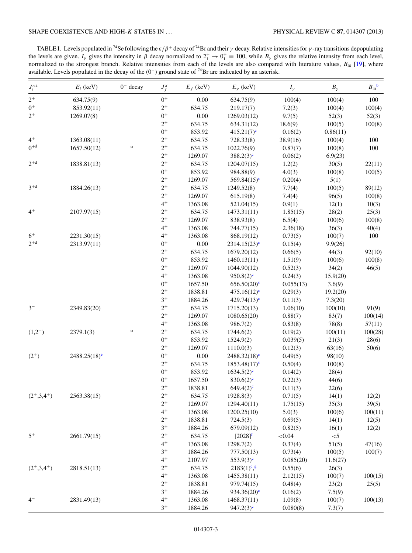<span id="page-2-0"></span>TABLE I. Levels populated in <sup>74</sup>Se following the  $\epsilon/\beta^+$  decay of <sup>74</sup>Br and their  $\gamma$  decay. Relative intensities for  $\gamma$ -ray transitions depopulating the levels are given.  $I_\gamma$  gives the intensity in  $\beta$  decay normalized to  $2^+_1 \rightarrow 0^+_1 \equiv 100$ , while  $B_\gamma$  gives the relative intensity from each level, normalized to the strongest branch. Relative intensities from each of the levels are also compared with literature values, *B*lit [\[19\]](#page-13-0), where available. Levels populated in the decay of the  $(0^-)$  ground state of <sup>74</sup>Br are indicated by an asterisk.

| $J_i^{\pi {\mathbf a}}$ | $E_i$ (keV)                | $0^-$ decay | $J_f^{\pi}$ | $E_f$ (keV) | $E_{\gamma}$ (keV)            | $I_{\gamma}$ | $B_\gamma$ | $B_{\text{lit}}^{\text{b}}$ |
|-------------------------|----------------------------|-------------|-------------|-------------|-------------------------------|--------------|------------|-----------------------------|
| $2^+$                   | 634.75(9)                  |             | $0^+$       | 0.00        | 634.75(9)                     | 100(4)       | 100(4)     | 100                         |
| $0^+$                   | 853.92(11)                 |             | $2^+$       | 634.75      | 219.17(7)                     | 7.2(3)       | 100(4)     | 100(4)                      |
| $2^+$                   | 1269.07(8)                 |             | $0^+$       | 0.00        | 1269.03(12)                   | 9.7(5)       | 52(3)      | 52(3)                       |
|                         |                            |             | $2^+$       | 634.75      | 634.31(12)                    | 18.6(9)      | 100(5)     | 100(8)                      |
|                         |                            |             | $0^+$       | 853.92      | $415.21(7)^e$                 | 0.16(2)      | 0.86(11)   |                             |
| $4^+$                   | 1363.08(11)                |             | $2^+$       | 634.75      | 728.33(8)                     | 38.9(16)     | 100(4)     | 100                         |
| $0^{+d}$                | 1657.50(12)                | $\ast$      | $2^+$       | 634.75      | 1022.76(9)                    | 0.87(7)      | 100(8)     | 100                         |
|                         |                            |             | $2^+$       | 1269.07     | $388.2(3)^c$                  | 0.06(2)      | 6.9(23)    |                             |
| $2^{+d}$                | 1838.81(13)                |             | $2^+$       | 634.75      | 1204.07(15)                   | 1.2(2)       | 30(5)      | 22(11)                      |
|                         |                            |             | $0^+$       | 853.92      | 984.88(9)                     | 4.0(3)       | 100(8)     | 100(5)                      |
|                         |                            |             | $2^+$       | 1269.07     | 569.84 $(15)^c$               | 0.20(4)      | 5(1)       |                             |
| $3+d$                   | 1884.26(13)                |             | $2^+$       | 634.75      | 1249.52(8)                    | 7.7(4)       | 100(5)     | 89(12)                      |
|                         |                            |             | $2^+$       | 1269.07     | 615.19(8)                     | 7.4(4)       | 96(5)      | 100(8)                      |
|                         |                            |             | $4^+$       | 1363.08     | 521.04(15)                    | 0.9(1)       | 12(1)      | 10(3)                       |
| $4^+$                   | 2107.97(15)                |             | $2^+$       | 634.75      | 1473.31(11)                   | 1.85(15)     | 28(2)      | 25(3)                       |
|                         |                            |             | $2^+$       | 1269.07     | 838.93(8)                     | 6.5(4)       | 100(6)     | 100(8)                      |
|                         |                            |             | $4^+$       | 1363.08     | 744.77(15)                    | 2.36(18)     | 36(3)      | 40(4)                       |
| $6+$                    | 2231.30(15)                |             | $4^+$       | 1363.08     | 868.19(12)                    | 0.73(5)      | 100(7)     | 100                         |
| $2^{+d}$                | 2313.97(11)                |             | $0^+$       | 0.00        | $2314.15(23)^c$               |              |            |                             |
|                         |                            |             | $2^+$       |             |                               | 0.15(4)      | 9.9(26)    | 92(10)                      |
|                         |                            |             | $0^+$       | 634.75      | 1679.20(12)                   | 0.66(5)      | 44(3)      |                             |
|                         |                            |             | $2^+$       | 853.92      | 1460.13(11)                   | 1.51(9)      | 100(6)     | 100(8)                      |
|                         |                            |             |             | 1269.07     | 1044.90(12)                   | 0.52(3)      | 34(2)      | 46(5)                       |
|                         |                            |             | $4^+$       | 1363.08     | $950.8(2)$ <sup>c</sup>       | 0.24(3)      | 15.9(20)   |                             |
|                         |                            |             | $0^+$       | 1657.50     | $656.50(20)$ <sup>c</sup>     | 0.055(13)    | 3.6(9)     |                             |
|                         |                            |             | $2^+$       | 1838.81     | $475.16(12)$ c                | 0.29(3)      | 19.2(20)   |                             |
|                         |                            |             | $3^+$       | 1884.26     | 429.74 $(13)^c$               | 0.11(3)      | 7.3(20)    |                             |
| $3-$                    | 2349.83(20)                |             | $2^+$       | 634.75      | 1715.20(13)                   | 1.06(10)     | 100(10)    | 91(9)                       |
|                         |                            |             | $2^+$       | 1269.07     | 1080.65(20)                   | 0.88(7)      | 83(7)      | 100(14)                     |
|                         |                            |             | $4^+$       | 1363.08     | 986.7(2)                      | 0.83(8)      | 78(8)      | 57(11)                      |
| $(1,2^{+})$             | 2379.1(3)                  | $\ast$      | $2^+$       | 634.75      | 1744.6(2)                     | 0.19(2)      | 100(11)    | 100(28)                     |
|                         |                            |             | $0^+$       | 853.92      | 1524.9(2)                     | 0.039(5)     | 21(3)      | 28(6)                       |
|                         |                            |             | $2^+$       | 1269.07     | 1110.0(3)                     | 0.12(3)      | 63(16)     | 50(6)                       |
| $(2^{+})$               | $2488.25(18)$ <sup>e</sup> |             | $0^+$       | $0.00\,$    | $2488.32(18)$ <sup>c</sup>    | 0.49(5)      | 98(10)     |                             |
|                         |                            |             | $2^+$       | 634.75      | $1853.48(17)^c$               | 0.50(4)      | 100(8)     |                             |
|                         |                            |             | $0^+$       | 853.92      | $1634.5(2)^c$                 | 0.14(2)      | 28(4)      |                             |
|                         |                            |             | $0^+$       | 1657.50     | $830.6(2)$ <sup>c</sup>       | 0.22(3)      | 44(6)      |                             |
|                         |                            |             | $2^+$       | 1838.81     | $649.4(2)$ <sup>c</sup>       | 0.11(3)      | 22(6)      |                             |
| $(2^+,3,4^+)$           | 2563.38(15)                |             | $2^+$       | 634.75      | 1928.8(3)                     | 0.71(5)      | 14(1)      | 12(2)                       |
|                         |                            |             | $2^+$       | 1269.07     | 1294.40(11)                   | 1.75(15)     | 35(3)      | 39(5)                       |
|                         |                            |             | $4^+$       | 1363.08     | 1200.25(10)                   | 5.0(3)       | 100(6)     | 100(11)                     |
|                         |                            |             | $2^+$       | 1838.81     | 724.5(3)                      | 0.69(5)      | 14(1)      | 12(5)                       |
|                         |                            |             | $3^+$       | 1884.26     | 679.09(12)                    | 0.82(5)      | 16(1)      | 12(2)                       |
| $5^+$                   | 2661.79(15)                |             | $2^+$       | 634.75      | $[2028]^{f}$                  | ${<}0.04$    | $< 5$      |                             |
|                         |                            |             | $4^+$       | 1363.08     | 1298.7(2)                     | 0.37(4)      | 51(5)      | 47(16)                      |
|                         |                            |             | $3^+$       | 1884.26     | 777.50(13)                    | 0.73(4)      | 100(5)     | 100(7)                      |
|                         |                            |             | $4^+$       | 2107.97     | $553.9(3)^c$                  | 0.085(20)    | 11.6(27)   |                             |
| $(2^+,3,4^+)$           | 2818.51(13)                |             | $2^+$       | 634.75      | $2183(1)^{c}$ , $\frac{g}{g}$ | 0.55(6)      | 26(3)      |                             |
|                         |                            |             | $4^+$       | 1363.08     | 1455.38(11)                   | 2.12(15)     | 100(7)     | 100(15)                     |
|                         |                            |             | $2^+$       | 1838.81     | 979.74(15)                    | 0.48(4)      | 23(2)      | 25(5)                       |
|                         |                            |             | $3^+$       | 1884.26     | 934.36 $(20)$ <sup>c</sup>    | 0.16(2)      | 7.5(9)     |                             |
| $4-$                    | 2831.49(13)                |             | $4^+$       | 1363.08     | 1468.37(11)                   | 1.09(8)      | 100(7)     | 100(13)                     |
|                         |                            |             | $3^+$       | 1884.26     | $947.2(3)^c$                  | 0.080(8)     | 7.3(7)     |                             |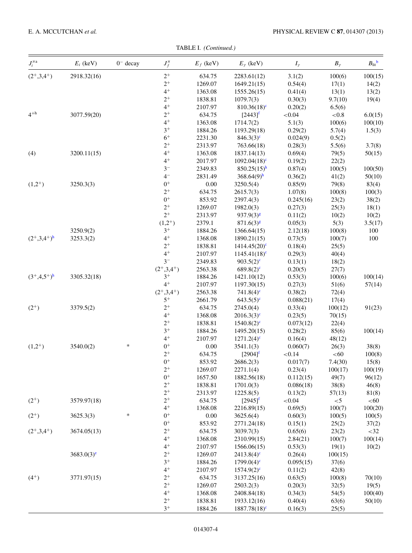TABLE I. *(Continued.)*

| $J_i^{\pi {\scriptscriptstyle \:\!\! a}}$ | $E_i$ (keV)   | $0^-$ decay | $J_f^{\pi}$   | $E_f$ (keV) | $E_{\gamma}$ (keV)                      | $I_{\gamma}$ | $B_{\gamma}$   | $B_{\text{lit}}^{\qquad b}$ |
|-------------------------------------------|---------------|-------------|---------------|-------------|-----------------------------------------|--------------|----------------|-----------------------------|
| $(2^+,3,4^+)$                             | 2918.32(16)   |             | $2^+$         | 634.75      | 2283.61(12)                             | 3.1(2)       | 100(6)         | 100(15)                     |
|                                           |               |             | $2^+$         | 1269.07     | 1649.21(15)                             | 0.54(4)      | 17(1)          | 14(2)                       |
|                                           |               |             | $4^+$         | 1363.08     | 1555.26(15)                             | 0.41(4)      | 13(1)          | 13(2)                       |
|                                           |               |             | $2^+$         | 1838.81     | 1079.7(3)                               | 0.30(3)      | 9.7(10)        | 19(4)                       |
|                                           |               |             | $4^+$         | 2107.97     | $810.36(18)^c$                          | 0.20(2)      | 6.5(6)         |                             |
| $4^{+h}$                                  | 3077.59(20)   |             | $2^+$         | 634.75      | $[2443]^{f}$                            | ${<}0.04$    | ${<}0.8$       | 6.0(15)                     |
|                                           |               |             | $4^+$         | 1363.08     | 1714.7(2)                               | 5.1(3)       | 100(6)         | 100(10)                     |
|                                           |               |             | $3^+$         | 1884.26     | 1193.29(18)                             | 0.29(2)      | 5.7(4)         | 1.5(3)                      |
|                                           |               |             | $6+$          | 2231.30     | $846.3(3)^{c}$                          | 0.024(9)     | 0.5(2)         |                             |
|                                           |               |             | $2^+$         | 2313.97     | 763.66(18)                              | 0.28(3)      | 5.5(6)         | 3.7(8)                      |
| (4)                                       | 3200.11(15)   |             | $4^+$         | 1363.08     | 1837.14(13)                             | 0.69(4)      | 79(5)          | 50(15)                      |
|                                           |               |             | $4+$          | 2017.97     | $1092.04(18)^c$                         | 0.19(2)      | 22(2)          |                             |
|                                           |               |             | $3-$          | 2349.83     | $850.25(15)^h$                          | 0.87(4)      | 100(5)         | 100(50)                     |
|                                           |               |             | $4-$          | 2831.49     | $368.64(9)$ <sup>h</sup>                | 0.36(2)      | 41(2)          | 50(10)                      |
| $(1,2^{+})$                               | 3250.3(3)     |             | $0^+$         | 0.00        | 3250.5(4)                               | 0.85(9)      | 79(8)          | 83(4)                       |
|                                           |               |             | $2^+$         | 634.75      | 2615.7(3)                               | 1.07(8)      | 100(8)         | 100(3)                      |
|                                           |               |             | $0^+$         | 853.92      | 2397.4(3)                               | 0.245(16)    | 23(2)          | 38(2)                       |
|                                           |               |             | $2^+$         | 1269.07     | 1982.0(3)                               | 0.27(3)      | 25(3)          | 18(1)                       |
|                                           |               |             | $2^+$         | 2313.97     | $937.9(3)^8$                            | 0.11(2)      | 10(2)          | 10(2)                       |
|                                           |               |             | $(1,2^{+})$   | 2379.1      | $871.6(3)^{g}$                          | 0.05(3)      | 5(3)           | 3.5(17)                     |
|                                           | 3250.9(2)     |             | $3^+$         | 1884.26     | 1366.64(15)                             | 2.12(18)     | 100(8)         | 100                         |
| $(2^+,3,4^+)^h$                           | 3253.3(2)     |             | $4+$          | 1368.08     | 1890.21(15)                             | 0.73(5)      | 100(7)         | 100                         |
|                                           |               |             | $2^+$         | 1838.81     | $1414.45(20)$ <sup>c</sup>              | 0.18(4)      | 25(5)          |                             |
|                                           |               |             | $4+$          | 2107.97     | $1145.41(18)^c$                         | 0.29(3)      | 40(4)          |                             |
|                                           |               |             | $3-$          | 2349.83     | $903.5(2)^c$                            | 0.13(1)      | 18(2)          |                             |
|                                           |               |             | $(2^+,3,4^+)$ | 2563.38     | $689.8(2)$ <sup>c</sup>                 | 0.20(5)      | 27(7)          |                             |
| $(3^+,4,5^+)^h$                           | 3305.32(18)   |             | $3^+$         | 1884.26     | 1421.10(12)                             | 0.53(3)      | 100(6)         | 100(14)                     |
|                                           |               |             | $4^+$         | 2107.97     | 1197.30(15)                             | 0.27(3)      | 51(6)          | 57(14)                      |
|                                           |               |             | $(2^+,3,4^+)$ | 2563.38     |                                         | 0.38(2)      |                |                             |
|                                           |               |             | $5^+$         | 2661.79     | $741.8(4)$ <sup>c</sup><br>$643.5(5)^c$ | 0.088(21)    | 72(4)<br>17(4) |                             |
|                                           |               |             | $2^+$         | 634.75      |                                         |              |                |                             |
| $(2^{+})$                                 | 3379.5(2)     |             | $4+$          | 1368.08     | 2745.0(4)                               | 0.33(4)      | 100(12)        | 91(23)                      |
|                                           |               |             | $2^+$         |             | $2016.3(3)^c$                           | 0.23(5)      | 70(15)         |                             |
|                                           |               |             | $3^+$         | 1838.81     | $1540.8(2)^c$                           | 0.073(12)    | 22(4)          |                             |
|                                           |               |             | $4^+$         | 1884.26     | 1495.20(15)                             | 0.28(2)      | 85(6)          | 100(14)                     |
|                                           |               | $\ast$      |               | 2107.97     | $1271.2(4)^c$                           | 0.16(4)      | 48(12)         |                             |
| $(1,2^{+})$                               | 3540.0(2)     |             | $0+$          | $0.00\,$    | 3541.1(3)                               | 0.060(7)     | 26(3)          | 38(8)                       |
|                                           |               |             | $2^+$         | 634.75      | $[2904]^{f}$                            | ${<}0.14$    | < 60           | 100(8)                      |
|                                           |               |             | $0^+$         | 853.92      | 2686.2(3)                               | 0.017(7)     | 7.4(30)        | 15(8)                       |
|                                           |               |             | $2^+$         | 1269.07     | 2271.1(4)                               | 0.23(4)      | 100(17)        | 100(19)                     |
|                                           |               |             | $0^+$         | 1657.50     | 1882.56(18)                             | 0.112(15)    | 49(7)          | 96(12)                      |
|                                           |               |             | $2^+$         | 1838.81     | 1701.0(3)                               | 0.086(18)    | 38(8)          | 46(8)                       |
|                                           |               |             | $2^+$         | 2313.97     | 1225.8(5)                               | 0.13(2)      | 57(13)         | 81(8)                       |
| $(2^{+})$                                 | 3579.97(18)   |             | $2^+$         | 634.75      | $[2945]^{f}$                            | ${<}0.04$    | $<$ 5          | < 60                        |
|                                           |               |             | $4^+$         | 1368.08     | 2216.89(15)                             | 0.69(5)      | 100(7)         | 100(20)                     |
| $(2^{+})$                                 | 3625.3(3)     | $\ast$      | $0^+$         | 0.00        | 3625.6(4)                               | 0.60(3)      | 100(5)         | 100(5)                      |
|                                           |               |             | $0^+$         | 853.92      | 2771.24(18)                             | 0.15(1)      | 25(2)          | 37(2)                       |
| $(2^+,3,4^+)$                             | 3674.05(13)   |             | $2^+$         | 634.75      | 3039.7(3)                               | 0.65(6)      | 23(2)          | $<$ 32                      |
|                                           |               |             | $4^+$         | 1368.08     | 2310.99(15)                             | 2.84(21)     | 100(7)         | 100(14)                     |
|                                           |               |             | $4^+$         | 2107.97     | 1566.06(15)                             | 0.53(3)      | 19(1)          | 10(2)                       |
|                                           | $3683.0(3)^e$ |             | $2^+$         | 1269.07     | $2413.8(4)$ <sup>c</sup>                | 0.26(4)      | 100(15)        |                             |
|                                           |               |             | $3^+$         | 1884.26     | $1799.0(4)^c$                           | 0.095(15)    | 37(6)          |                             |
|                                           |               |             | $4^+$         | 2107.97     | $1574.9(2)^{c}$                         | 0.11(2)      | 42(8)          |                             |
| $(4^{+})$                                 | 3771.97(15)   |             | $2^+$         | 634.75      | 3137.25(16)                             | 0.63(5)      | 100(8)         | 70(10)                      |
|                                           |               |             | $2^+$         | 1269.07     | 2503.2(3)                               | 0.20(3)      | 32(5)          | 19(5)                       |
|                                           |               |             | $4^+$         | 1368.08     | 2408.84(18)                             | 0.34(3)      | 54(5)          | 100(40)                     |
|                                           |               |             | $2^+$         | 1838.81     | 1933.12(16)                             | 0.40(4)      | 63(6)          | 50(10)                      |
|                                           |               |             | $3^+$         | 1884.26     | $1887.78(18)^c$                         | 0.16(3)      | 25(5)          |                             |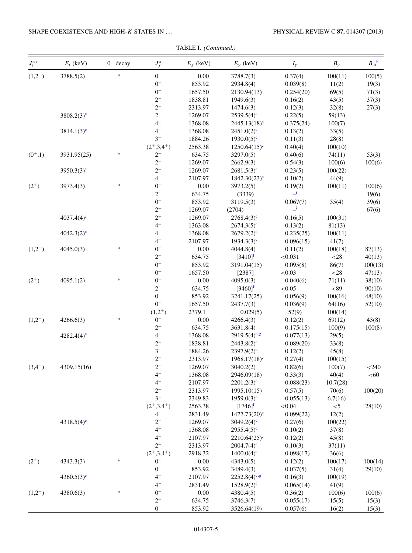## SHAPE COEXISTENCE AND HIGH-*K* STATES IN *...* PHYSICAL REVIEW C **87**, 014307 (2013)

| $J_i^{\pi {\scriptscriptstyle \:\!\! a}}$ | $E_i$ (keV)              | $0^-$ decay | $J_f^\pi$     | $E_f$ (keV) | $E_{\gamma}$ (keV)         | $I_{\gamma}$             | $B_\gamma$ | $B_{\text{lit}}^{\text{b}}$ |
|-------------------------------------------|--------------------------|-------------|---------------|-------------|----------------------------|--------------------------|------------|-----------------------------|
| $(1,2^{+})$                               | 3788.5(2)                | $\ast$      | $0^+$         | $0.00\,$    | 3788.7(3)                  | 0.37(4)                  | 100(11)    | 100(5)                      |
|                                           |                          |             | $0^+$         | 853.92      | 2934.8(4)                  | 0.039(8)                 | 11(2)      | 19(3)                       |
|                                           |                          |             | $0^+$         | 1657.50     | 2130.94(13)                | 0.254(20)                | 69(5)      | 71(3)                       |
|                                           |                          |             | $2^+$         | 1838.81     | 1949.6(3)                  | 0.16(2)                  | 43(5)      | 37(3)                       |
|                                           |                          |             | $2^+$         | 2313.97     | 1474.6(3)                  | 0.12(3)                  | 32(8)      | 27(3)                       |
|                                           | $3808.2(3)^e$            |             | $2^+$         | 1269.07     | $2539.5(4)^c$              | 0.22(5)                  | 59(13)     |                             |
|                                           |                          |             | $4^+$         | 1368.08     | $2445.13(18)^c$            | 0.375(24)                | 100(7)     |                             |
|                                           | $3814.1(3)^e$            |             | $4^+$         | 1368.08     | $2451.0(2)^c$              | 0.13(2)                  | 33(5)      |                             |
|                                           |                          |             | $3^+$         | 1884.26     | $1930.0(5)^c$              | 0.11(3)                  | 28(8)      |                             |
|                                           |                          |             | $(2^+,3,4^+)$ | 2563.38     | $1250.64(15)$ <sup>c</sup> | 0.40(4)                  | 100(10)    |                             |
| $(0^+,1)$                                 | 3931.95(25)              | $\ast$      | $2^+$         | 634.75      | 3297.0(5)                  | 0.40(6)                  | 74(11)     | 53(3)                       |
|                                           |                          |             | $2^+$         | 1269.07     | 2662.9(3)                  | 0.54(3)                  | 100(6)     | 100(6)                      |
|                                           | $3950.3(3)$ <sup>e</sup> |             | $2^+$         | 1269.07     | $2681.5(3)^c$              | 0.23(5)                  | 100(22)    |                             |
|                                           |                          |             | $4^+$         | 2107.97     | $1842.30(23)^c$            | 0.10(2)                  | 44(9)      |                             |
| $(2^{+})$                                 | 3973.4(3)                | $\ast$      | $0+$          | $0.00\,$    | 3973.2(5)                  | 0.19(2)                  | 100(11)    | 100(6)                      |
|                                           |                          |             | $2^+$         | 634.75      | (3339)                     | $\mathbf{\underline{i}}$ |            | 19(6)                       |
|                                           |                          |             | $0+$          | 853.92      | 3119.5(3)                  | 0.067(7)                 | 35(4)      | 39(6)                       |
|                                           |                          |             | $2^+$         | 1269.07     | (2704)                     | $\mathbf{\underline{i}}$ |            | 67(6)                       |
|                                           | $4037.4(4)$ <sup>e</sup> |             | $2^+$         | 1269.07     | $2768.4(3)^c$              | 0.16(5)                  | 100(31)    |                             |
|                                           |                          |             | $4+$          | 1363.08     | $2674.3(5)^c$              | 0.13(2)                  | 81(13)     |                             |
|                                           | $4042.3(2)$ <sup>e</sup> |             | $4^+$         | 1368.08     | $2679.2(2)^c$              | 0.235(25)                | 100(11)    |                             |
|                                           |                          |             | $4^+$         | 2107.97     | $1934.3(3)^c$              | 0.096(15)                | 41(7)      |                             |
| $(1,2^{+})$                               | 4045.0(3)                | $\ast$      | $0^+$         | 0.00        | 4044.8(4)                  | 0.11(2)                  | 100(18)    | 87(13)                      |
|                                           |                          |             | $2^+$         | 634.75      | $[3410]^{f}$               | < 0.031                  | $<$ 28     | 40(13)                      |
|                                           |                          |             | $0^+$         | 853.92      | 3191.04(15)                | 0.095(8)                 | 86(7)      | 100(13)                     |
|                                           |                          |             | $0^+$         | 1657.50     | [2387]                     | < 0.03                   | ${<}28$    | 47(13)                      |
| $(2^{+})$                                 | 4095.1(2)                | $\ast$      | $0^+$         | $0.00\,$    | 4095.0(3)                  | 0.040(6)                 | 71(11)     | 38(10)                      |
|                                           |                          |             | $2^+$         | 634.75      | $[3460]^{f}$               | < 0.05                   | ${<}89$    | 90(10)                      |
|                                           |                          |             | $0^+$         |             |                            |                          |            |                             |
|                                           |                          |             | $0^+$         | 853.92      | 3241.17(25)                | 0.056(9)                 | 100(16)    | 48(10)                      |
|                                           |                          |             |               | 1657.50     | 2437.7(3)                  | 0.036(9)                 | 64(16)     | 52(10)                      |
|                                           |                          | $\ast$      | $(1,2^{+})$   | 2379.1      | 0.029(5)                   | 52(9)                    | 100(14)    |                             |
| $(1,2^{+})$                               | 4266.6(3)                |             | $0^+$         | $0.00\,$    | 4266.4(3)                  | 0.12(2)                  | 69(12)     | 43(8)                       |
|                                           |                          |             | $2^+$         | 634.75      | 3631.8(4)                  | 0.175(15)                | 100(9)     | 100(8)                      |
|                                           | $4282.4(4)$ <sup>e</sup> |             | $4^+$         | 1368.08     | $2919.5(4)^{c,g}$          | 0.077(13)                | 29(5)      |                             |
|                                           |                          |             | $2^+$         | 1838.81     | $2443.8(2)$ <sup>c</sup>   | 0.089(20)                | 33(8)      |                             |
|                                           |                          |             | $3^+$         | 1884.26     | $2397.9(2)^c$              | 0.12(2)                  | 45(8)      |                             |
|                                           |                          |             | $2^+$         | 2313.97     | $1968.17(18)$ <sup>c</sup> | 0.27(4)                  | 100(15)    |                             |
| $(3,4^{+})$                               | 4309.15(16)              |             | $2^+$         | 1269.07     | 3040.2(2)                  | 0.82(6)                  | 100(7)     | $<$ 240                     |
|                                           |                          |             | $4^+$         | 1368.08     | 2946.09(18)                | 0.33(3)                  | 40(4)      | < 60                        |
|                                           |                          |             | $4^+$         | 2107.97     | $2201.2(3)^c$              | 0.088(23)                | 10.7(28)   |                             |
|                                           |                          |             | $2^+$         | 2313.97     | 1995.10(15)                | 0.57(5)                  | 70(6)      | 100(20)                     |
|                                           |                          |             | $3-$          | 2349.83     | $1959.0(3)^c$              | 0.055(13)                | 6.7(16)    |                             |
|                                           |                          |             | $(2^+,3,4^+)$ | 2563.38     | $[1746]^{f}$               | ${<}0.04$                | $<$ 5      | 28(10)                      |
|                                           |                          |             | $4-$          | 2831.49     | $1477.73(20)$ <sup>c</sup> | 0.099(22)                | 12(2)      |                             |
|                                           | $4318.5(4)$ <sup>e</sup> |             | $2^+$         | 1269.07     | $3049.2(4)$ <sup>c</sup>   | 0.27(6)                  | 100(22)    |                             |
|                                           |                          |             | $4^+$         | 1368.08     | $2955.4(5)^c$              | 0.10(2)                  | 37(8)      |                             |
|                                           |                          |             | $4^+$         | 2107.97     | $2210.64(25)$ °            | 0.12(2)                  | 45(8)      |                             |
|                                           |                          |             | $2^+$         | 2313.97     | $2004.7(4)$ <sup>c</sup>   | 0.10(3)                  | 37(11)     |                             |
|                                           |                          |             | $(2^+,3,4^+)$ | 2918.32     | $1400.0(4)^c$              | 0.098(17)                | 36(6)      |                             |
| $(2^{+})$                                 | 4343.3(3)                | $\ast$      | $0^+$         | $0.00\,$    | 4343.0(5)                  | 0.12(2)                  | 100(17)    | 100(14)                     |
|                                           |                          |             | $0^+$         | 853.92      | 3489.4(3)                  | 0.037(5)                 | 31(4)      | 29(10)                      |
|                                           | $4360.5(3)^e$            |             | $4^+$         | 2107.97     | $2252.8(4)^{c,g}$          | 0.16(3)                  | 100(19)    |                             |
|                                           |                          |             | $4-$          | 2831.49     | $1528.9(2)^c$              | 0.065(14)                | 41(9)      |                             |
| $(1,2^{+})$                               | 4380.6(3)                | $\ast$      | $0^+$         | $0.00\,$    | 4380.4(5)                  | 0.36(2)                  | 100(6)     | 100(6)                      |
|                                           |                          |             | $2^+$         | 634.75      | 3746.3(7)                  | 0.055(17)                | 15(5)      | 15(3)                       |
|                                           |                          |             | $0^+$         | 853.92      | 3526.64(19)                | 0.057(6)                 | 16(2)      | 15(3)                       |

TABLE I. *(Continued.)*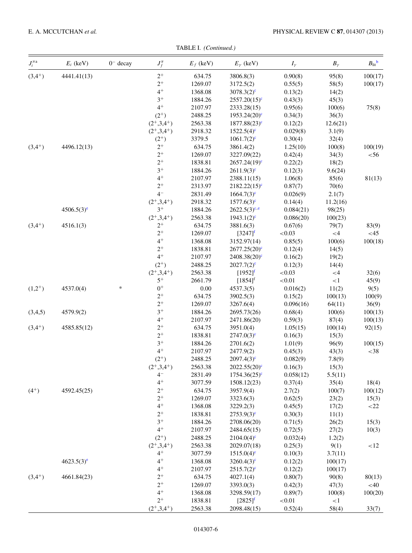TABLE I. *(Continued.)*

| $J_i^{\pi {\scriptscriptstyle \:\!\! a}}$ | $E_i$ (keV)              | $0^-$ decay | $J_f^{\pi}$            | $E_f$ (keV) | $E_{\gamma}$ (keV)         | $I_{\gamma}$ | $B_{\gamma}$ | $B_{\text{lit}}^{\qquad b}$ |
|-------------------------------------------|--------------------------|-------------|------------------------|-------------|----------------------------|--------------|--------------|-----------------------------|
| $(3,4^{+})$                               | 4441.41(13)              |             | $2^+$                  | 634.75      | 3806.8(3)                  | 0.90(8)      | 95(8)        | 100(17)                     |
|                                           |                          |             | $2^+$                  | 1269.07     | 3172.5(2)                  | 0.55(5)      | 58(5)        | 100(17)                     |
|                                           |                          |             | $4^+$                  | 1368.08     | $3078.3(2)^c$              | 0.13(2)      | 14(2)        |                             |
|                                           |                          |             | $3^+$                  | 1884.26     | $2557.20(15)^e$            | 0.43(3)      | 45(3)        |                             |
|                                           |                          |             | $4^+$                  | 2107.97     | 2333.28(15)                | 0.95(6)      | 100(6)       | 75(8)                       |
|                                           |                          |             | $(2^{+})$              | 2488.25     | $1953.24(20)$ <sup>c</sup> | 0.34(3)      | 36(3)        |                             |
|                                           |                          |             | $(2^+,3,4^+)$          | 2563.38     | $1877.88(23)^c$            | 0.12(2)      | 12.6(21)     |                             |
|                                           |                          |             | $(2^+,3,4^+)$          | 2918.32     | $1522.5(4)$ <sup>c</sup>   | 0.029(8)     | 3.1(9)       |                             |
|                                           |                          |             | $(2^{+})$              | 3379.5      | $1061.7(2)^c$              | 0.30(4)      | 32(4)        |                             |
| $(3,4^{+})$                               | 4496.12(13)              |             | $2^+$                  | 634.75      | 3861.4(2)                  | 1.25(10)     | 100(8)       | 100(19)                     |
|                                           |                          |             | $2^+$                  | 1269.07     | 3227.09(22)                | 0.42(4)      | 34(3)        | $<$ 56                      |
|                                           |                          |             | $2^+$                  | 1838.81     | $2657.24(19)^c$            | 0.22(2)      | 18(2)        |                             |
|                                           |                          |             | $3^+$                  | 1884.26     | $2611.9(3)^c$              | 0.12(3)      | 9.6(24)      |                             |
|                                           |                          |             | $4+$                   | 2107.97     | 2388.11(15)                | 1.06(8)      | 85(6)        | 81(13)                      |
|                                           |                          |             | $2^+$                  | 2313.97     | $2182.22(15)^c$            | 0.87(7)      | 70(6)        |                             |
|                                           |                          |             | $4-$                   | 2831.49     | $1664.7(3)^e$              | 0.026(9)     | 2.1(7)       |                             |
|                                           |                          |             | $(2^+,3,4^+)$          | 2918.32     | $1577.6(3)^c$              | 0.14(4)      | 11.2(16)     |                             |
|                                           | $4506.5(3)$ <sup>e</sup> |             | $3^+$                  | 1884.26     | $2622.5(3)^{c,e}$          | 0.084(21)    | 98(25)       |                             |
|                                           |                          |             | $(2^+,3,4^+)$          | 2563.38     | $1943.1(2)^c$              | 0.086(20)    | 100(23)      |                             |
| $(3,4^{+})$                               |                          |             | $2^+$                  | 634.75      | 3881.6(3)                  | 0.67(6)      | 79(7)        | 83(9)                       |
|                                           | 4516.1(3)                |             | $2^+$                  | 1269.07     |                            | ${<}0.03$    | ${<}4$       | <45                         |
|                                           |                          |             | $4+$                   |             | $[3247]^{f}$               |              |              |                             |
|                                           |                          |             | $2^+$                  | 1368.08     | 3152.97(14)                | 0.85(5)      | 100(6)       | 100(18)                     |
|                                           |                          |             |                        | 1838.81     | $2677.25(20)$ <sup>c</sup> | 0.12(4)      | 14(5)        |                             |
|                                           |                          |             | $4^+$                  | 2107.97     | $2408.38(20)$ <sup>c</sup> | 0.16(2)      | 19(2)        |                             |
|                                           |                          |             | $(2^{+})$              | 2488.25     | $2027.7(2)^c$              | 0.12(3)      | 14(4)        |                             |
|                                           |                          |             | $(2^+,3,4^+)$          | 2563.38     | $[1952]^{f}$               | < 0.03       | $<4\,$       | 32(6)                       |
|                                           |                          |             | $5^+$                  | 2661.79     | $[1854]^{f}$               | ${<}0.01$    | <1           | 45(9)                       |
| $(1,2^{+})$                               | 4537.0(4)                | $\ast$      | $0^+$                  | $0.00\,$    | 4537.3(5)                  | 0.016(2)     | 11(2)        | 9(5)                        |
|                                           |                          |             | $2^+$                  | 634.75      | 3902.5(3)                  | 0.15(2)      | 100(13)      | 100(9)                      |
|                                           |                          |             | $2^+$                  | 1269.07     | 3267.6(4)                  | 0.096(16)    | 64(11)       | 36(9)                       |
| (3,4,5)                                   | 4579.9(2)                |             | $3^+$                  | 1884.26     | 2695.73(26)                | 0.68(4)      | 100(6)       | 100(13)                     |
|                                           |                          |             | $4^+$                  | 2107.97     | 2471.86(20)                | 0.59(3)      | 87(4)        | 100(13)                     |
| $(3,4^{+})$                               | 4585.85(12)              |             | $2^+$                  | 634.75      | 3951.0(4)                  | 1.05(15)     | 100(14)      | 92(15)                      |
|                                           |                          |             | $2^+$                  | 1838.81     | $2747.0(3)^c$              | 0.16(3)      | 15(3)        |                             |
|                                           |                          |             | $3^+$                  | 1884.26     | 2701.6(2)                  | 1.01(9)      | 96(9)        | 100(15)                     |
|                                           |                          |             | $4^+$                  | 2107.97     | 2477.9(2)                  | 0.45(3)      | 43(3)        | $<$ 38                      |
|                                           |                          |             | $(2^{+})$              | 2488.25     | $2097.4(3)^c$              | 0.082(9)     | 7.8(9)       |                             |
|                                           |                          |             | $(2^+,3,4^+)$          | 2563.38     | $2022.55(20)$ <sup>c</sup> | 0.16(3)      | 15(3)        |                             |
|                                           |                          |             | $4-$                   | 2831.49     | $1754.36(25)^c$            | 0.058(12)    | 5.5(11)      |                             |
|                                           |                          |             | $4^+$                  | 3077.59     | 1508.12(23)                | 0.37(4)      | 35(4)        | 18(4)                       |
| $(4^{+})$                                 | 4592.45(25)              |             | $2^+$                  | 634.75      | 3957.9(4)                  | 2.7(2)       | 100(7)       | 100(12)                     |
|                                           |                          |             | $2^+$                  | 1269.07     | 3323.6(3)                  | 0.62(5)      | 23(2)        | 15(3)                       |
|                                           |                          |             | $4^+$                  | 1368.08     | 3229.2(3)                  | 0.45(5)      | 17(2)        | $<$ 22                      |
|                                           |                          |             | $2^+$                  | 1838.81     | $2753.9(3)^c$              | 0.30(3)      | 11(1)        |                             |
|                                           |                          |             | $3^+$                  | 1884.26     | 2708.06(20)                | 0.71(5)      | 26(2)        | 15(3)                       |
|                                           |                          |             | $4^+$                  | 2107.97     | 2484.65(15)                | 0.72(5)      | 27(2)        | 10(3)                       |
|                                           |                          |             | $(2^{+})$              | 2488.25     | $2104.0(4)^c$              | 0.032(4)     | 1.2(2)       |                             |
|                                           |                          |             |                        |             |                            |              |              |                             |
|                                           |                          |             | $(2^+,3,4^+)$<br>$4^+$ | 2563.38     | 2029.07(18)                | 0.25(3)      | 9(1)         | <12                         |
|                                           |                          |             | $4^+$                  | 3077.59     | $1515.0(4)$ <sup>c</sup>   | 0.10(3)      | 3.7(11)      |                             |
|                                           | $4623.5(3)^e$            |             |                        | 1368.08     | $3260.4(3)^c$              | 0.12(2)      | 100(17)      |                             |
|                                           |                          |             | $4^+$                  | 2107.97     | $2515.7(2)^c$              | 0.12(2)      | 100(17)      |                             |
| $(3,4^{+})$                               | 4661.84(23)              |             | $2^+$                  | 634.75      | 4027.1(4)                  | 0.80(7)      | 90(8)        | 80(13)                      |
|                                           |                          |             | $2^+$                  | 1269.07     | 3393.0(3)                  | 0.42(3)      | 47(3)        | $<$ 40                      |
|                                           |                          |             | $4^+$                  | 1368.08     | 3298.59(17)                | 0.89(7)      | 100(8)       | 100(20)                     |
|                                           |                          |             | $2^+$                  | 1838.81     | $[2825]^{f}$               | ${<}0.01$    | <1           |                             |
|                                           |                          |             | $(2^+,3,4^+)$          | 2563.38     | 2098.48(15)                | 0.52(4)      | 58(4)        | 33(7)                       |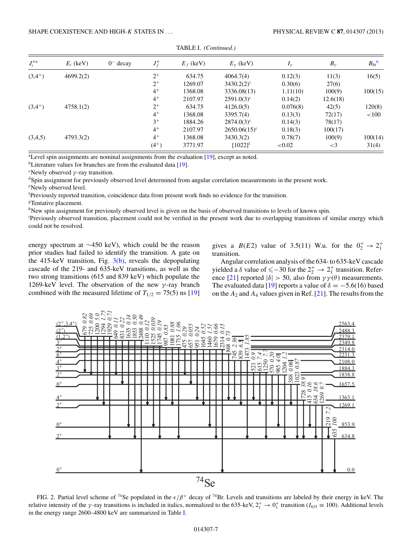<span id="page-6-0"></span>

| $J_i^{\pi a}$ | $E_i$ (keV) | $0^-$ decay | $J^{\pi}_{\ell}$ | $E_f$ (keV) | $E_{\nu}$ (keV)          | $I_{\nu}$ | $B_{\gamma}$ | $B_{\text{lit}}^{\text{b}}$ |
|---------------|-------------|-------------|------------------|-------------|--------------------------|-----------|--------------|-----------------------------|
| $(3,4^{+})$   | 4699.2(2)   |             | $2^{+}$          | 634.75      | 4064.7(4)                | 0.12(3)   | 11(3)        | 16(5)                       |
|               |             |             | $2^{+}$          | 1269.07     | $3430.2(2)$ <sup>c</sup> | 0.30(6)   | 27(6)        |                             |
|               |             |             | $4^+$            | 1368.08     | 3336.08(13)              | 1.11(10)  | 100(9)       | 100(15)                     |
|               |             |             | $4^+$            | 2107.97     | $2591.0(3)^c$            | 0.14(2)   | 12.6(18)     |                             |
| $(3,4^{+})$   | 4758.1(2)   |             | $2^{+}$          | 634.75      | 4126.0(5)                | 0.076(8)  | 42(5)        | 120(8)                      |
|               |             |             | $4^+$            | 1368.08     | 3395.7(4)                | 0.13(3)   | 72(17)       | ${<}100$                    |
|               |             |             | $3^+$            | 1884.26     | $2874.0(3)^c$            | 0.14(3)   | 78(17)       |                             |
|               |             |             | $4^+$            | 2107.97     | $2650.06(15)^c$          | 0.18(3)   | 100(17)      |                             |
| (3,4,5)       | 4793.3(2)   |             | $4^+$            | 1368.08     | 3430.3(2)                | 0.78(7)   | 100(9)       | 100(14)                     |
|               |             |             | $(4^{+})$        | 3771.97     | $[1022]$ <sup>t</sup>    | ${<}0.02$ | $\leq$ 3     | 31(4)                       |

TABLE I. *(Continued.)*

<sup>a</sup>Level spin assignments are nominal assignments from the evaluation [\[19\]](#page-13-0), except as noted.

<sup>b</sup>Literature values for branches are from the evaluated data [\[19\]](#page-13-0).

c Newly observed *γ* -ray transition.

<sup>d</sup>Spin assignment for previously observed level determined from angular correlation measurements in the present work.

e Newly observed level.

f Previously reported transition, coincidence data from present work finds no evidence for the transition.

<sup>g</sup>Tentative placement.

hNew spin assignment for previously observed level is given on the basis of observed transitions to levels of known spin.

Previously observed transition, placement could not be verified in the present work due to overlapping transitions of similar energy which could not be resolved.

energy spectrum at ∼450 keV), which could be the reason prior studies had failed to identify the transition. A gate on the 415-keV transition, Fig.  $3(b)$ , reveals the depopulating cascade of the 219- and 635-keV transitions, as well as the two strong transitions (615 and 839 keV) which populate the 1269-keV level. The observation of the new *γ* -ray branch combined with the measured lifetime of  $T_{1/2} = 75(5)$  ns [\[19\]](#page-13-0)

gives a *B*(*E*2) value of 3.5(11) W.u. for the  $0^{+}_{2} \rightarrow 2^{+}_{1}$ transition.

Angular correlation analysis of the 634- to 635-keV cascade yielded a  $\delta$  value of  $\leq -30$  for the  $2^+_2 \rightarrow 2^+_1$  transition. Refer-ence [\[21\]](#page-13-0) reported  $|\delta| > 50$ , also from  $\gamma \gamma(\theta)$  measurements. The evaluated data [\[19\]](#page-13-0) reports a value of  $\delta = -5.6(16)$  based on the *A*<sup>2</sup> and *A*<sup>4</sup> values given in Ref. [\[21\]](#page-13-0). The results from the



FIG. 2. Partial level scheme of 74Se populated in the *-/β*<sup>+</sup> decay of 74Br. Levels and transitions are labeled by their energy in keV. The relative intensity of the *γ*-ray transitions is included in italics, normalized to the 635-keV,  $2^+_1 \rightarrow 0^+_1$  transition (*I*<sub>635</sub> = 100). Additional levels in the energy range 2600–4800 keV are summarized in Table [I.](#page-2-0)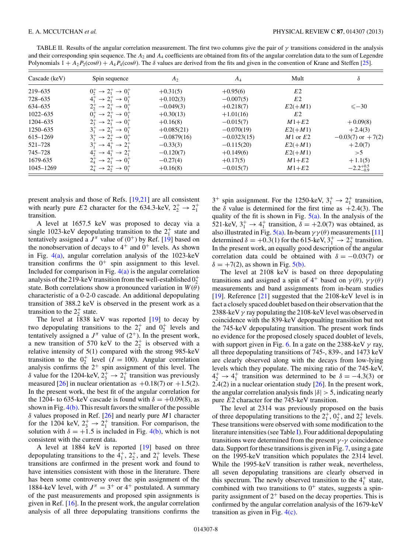<span id="page-7-0"></span>TABLE II. Results of the angular correlation measurement. The first two columns give the pair of *γ* transitions considered in the analysis and their corresponding spin sequence. The  $A_2$  and  $A_4$  coefficients are obtained from fits of the angular correlation data to the sum of Legendre Polynomials  $1 + A_2P_2(\cos\theta) + A_4P_4(\cos\theta)$ . The  $\delta$  values are derived from the fits and given in the convention of Krane and Steffen [\[25\]](#page-13-0).

| $\text{Cascade (keV)}$ | Spin sequence                                                    | A <sub>2</sub> | $A_4$         | Mult           | δ                     |
|------------------------|------------------------------------------------------------------|----------------|---------------|----------------|-----------------------|
| 219-635                | $0^+_2 \rightarrow 2^+_1 \rightarrow 0^+_1$                      | $+0.31(5)$     | $+0.95(6)$    | E <sub>2</sub> |                       |
| 728-635                | $\rightarrow$ 2 <sup>+</sup><br>$\rightarrow 0^+$                | $+0.102(3)$    | $-0.007(5)$   | E2             |                       |
| 634-635                | $2^{+}_{2}$<br>$\rightarrow$ 2 <sup>+</sup><br>$\rightarrow 0^+$ | $-0.049(3)$    | $+0.218(7)$   | $E2(+M1)$      | $\leq -30$            |
| 1022-635               | 0, 0<br>$\rightarrow$ 2 <sup>+</sup><br>$\rightarrow 0^+$        | $+0.30(13)$    | $+1.01(16)$   | E2             |                       |
| 1204-635               | $\rightarrow$ 2 <sup>+</sup><br>$\rightarrow 0$ <sup>-1</sup>    | $+0.16(8)$     | $-0.015(7)$   | $M1+E2$        | $+0.09(8)$            |
| 1250-635               | $\rightarrow 0^+$<br>$\rightarrow$ 2 <sup>+</sup>                | $+0.085(21)$   | $-0.070(19)$  | $E2(+M1)$      | $+2.4(3)$             |
| 615-1269               | $\rightarrow 0^+$<br>$\rightarrow 2^+$                           | $-0.0879(16)$  | $-0.0323(15)$ | $M1$ or $E2$   | $-0.03(7)$ or $+7(2)$ |
| 521-728                | $\rightarrow$ 2.<br>$\rightarrow$ 4.                             | $-0.33(3)$     | $-0.115(20)$  | $E2(+M1)$      | $+2.0(7)$             |
| 745-728                | $\rightarrow$ 2.<br>$4^{+}_{2}$<br>$\rightarrow$ 4.              | $-0.120(7)$    | $+0.149(6)$   | $E2(+M1)$      | $>$ 5                 |
| 1679-635               | $\rightarrow$ 2 <sup>+</sup><br>$\rightarrow 0^+$                | $-0.27(4)$     | $+0.17(5)$    | $M1+E2$        | $+1.1(5)$             |
| 1045-1269              | $2^+_4 \rightarrow 2^+_2 \rightarrow 0^+_1$                      | $+0.16(8)$     | $-0.015(7)$   | $M1+E2$        | $-2.2^{+0.5}_{-0.9}$  |

present analysis and those of Refs. [\[19,21\]](#page-13-0) are all consistent with nearly pure *E*2 character for the 634.3-keV,  $2^+_2 \rightarrow 2^+_1$ transition.

A level at 1657.5 keV was proposed to decay via a single 1023-keV depopulating transition to the  $2^+_1$  state and tentatively assigned a  $J^{\pi}$  value of (0<sup>+</sup>) by Ref. [\[19\]](#page-13-0) based on the nonobservation of decays to  $4^+$  and  $0^+$  levels. As shown in Fig.  $4(a)$ , angular correlation analysis of the 1023-keV transition confirms the  $0^+$  spin assignment to this level. Included for comparison in Fig.  $4(a)$  is the angular correlation analysis of the 219-keV transition from the well-established  $0^{+}_{2}$ state. Both correlations show a pronounced variation in  $W(\theta)$ characteristic of a 0-2-0 cascade. An additional depopulating transition of 388.2 keV is observed in the present work as a transition to the  $2^+_2$  state.

The level at 1838 keV was reported [\[19\]](#page-13-0) to decay by two depopulating transitions to the  $2^+_1$  and  $0^+_2$  levels and tentatively assigned a  $J^{\pi}$  value of (2<sup>+</sup>). In the present work, a new transition of 570 keV to the  $2^+_2$  is observed with a relative intensity of 5(1) compared with the strong 985-keV transition to the  $0^+_2$  level (*I* = 100). Angular correlation analysis confirms the  $2^+$  spin assignment of this level. The *δ* value for the 1204-keV,  $2^+_3 \rightarrow 2^+_1$  transition was previously measured [\[26\]](#page-13-0) in nuclear orientation as  $+0.18(7)$  or  $+1.5(2)$ . In the present work, the best fit of the angular correlation for the 1204- to 635-keV cascade is found with  $\delta = +0.09(8)$ , as shown in Fig.  $4(b)$ . This result favors the smaller of the possible *δ* values proposed in Ref. [\[26\]](#page-13-0) and nearly pure *M*1 character for the 1204 keV,  $2^+_3 \rightarrow 2^+_1$  transition. For comparison, the solution with  $\delta = +1.5$  is included in Fig. [4\(b\),](#page-8-0) which is not consistent with the current data.

A level at 1884 keV is reported [\[19\]](#page-13-0) based on three depopulating transitions to the  $4^+_1$ ,  $2^+_2$ , and  $2^+_1$  levels. These transitions are confirmed in the present work and found to have intensities consistent with those in the literature. There has been some controversy over the spin assignment of the 1884-keV level, with  $J^{\pi} = 3^{+}$  or 4<sup>+</sup> postulated. A summary of the past measurements and proposed spin assignments is given in Ref. [\[16\]](#page-13-0). In the present work, the angular correlation analysis of all three depopulating transitions confirms the

 $3^+$  spin assignment. For the 1250-keV,  $3^+_1 \rightarrow 2^+_1$  transition, the  $\delta$  value is determined for the first time as  $+2.4(3)$ . The quality of the fit is shown in Fig.  $5(a)$ . In the analysis of the 521-keV,  $3^+_1 \rightarrow 4^+_1$  transition,  $\delta = +2.0(7)$  was obtained, as also illustrated in Fig.  $5(a)$ . In-beam  $\gamma \gamma(\theta)$  measurements [\[11\]](#page-13-0) determined  $\delta = +0.3(1)$  for the 615-keV,  $3^+_1 \rightarrow 2^+_2$  transition. In the present work, an equally good description of the angular correlation data could be obtained with  $\delta = -0.03(7)$  or  $\delta = +7(2)$ , as shown in Fig. [5\(b\).](#page-9-0)

The level at 2108 keV is based on three depopulating transitions and assigned a spin of  $4^+$  based on  $\gamma(\theta)$ ,  $\gamma\gamma(\theta)$ measurements and band assignments from in-beam studies [\[19\]](#page-13-0). Reference [\[21\]](#page-13-0) suggested that the 2108-keV level is in fact a closely spaced doublet based on their observation that the 2388-keV *γ* ray populating the 2108-keV level was observed in coincidence with the 839-keV depopualting transition but not the 745-keV depopulating transition. The present work finds no evidence for the proposed closely spaced doublet of levels, with support given in Fig. [6.](#page-9-0) In a gate on the 2388-keV *γ* ray, all three depopulating transitions of 745-, 839-, and 1473 keV are clearly observed along with the decays from low-lying levels which they populate. The mixing ratio of the 745-keV,  $4^{+}_{2} \rightarrow 4^{+}_{1}$  transition was determined to be  $\delta = -4.3(3)$  or 2.4(2) in a nuclear orientation study  $[26]$ . In the present work, the angular correlation analysis finds  $|\delta| > 5$ , indicating nearly pure *E*2 character for the 745-keV transition.

The level at 2314 was previously proposed on the basis of three depopulating transitions to the  $2^+_1$ ,  $0^+_2$ , and  $2^+_2$  levels. These transitions were observed with some modification to the literature intensities (see Table [I\)](#page-2-0). Four additional depopulating transitions were determined from the present *γ* -*γ* coincidence data. Support for these transitions is given in Fig. [7,](#page-9-0) using a gate on the 1995-keV transition which populates the 2314 level. While the 1995-keV transition is rather weak, nevertheless, all seven depopulating transitions are clearly observed in this spectrum. The newly observed transition to the  $4<sup>+</sup><sub>1</sub>$  state, combined with two transitions to  $0^+$  states, suggests a spinparity assignment of  $2^+$  based on the decay properties. This is confirmed by the angular correlation analysis of the 1679-keV transition as given in Fig. [4\(c\).](#page-8-0)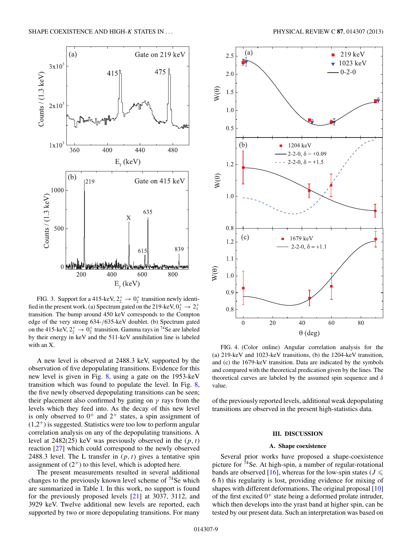<span id="page-8-0"></span>

FIG. 3. Support for a 415-keV,  $2^+_2 \rightarrow 0^+_2$  transition newly identified in the present work. (a) Spectrum gated on the 219-keV,  $0_2^+ \rightarrow 2_1^+$ transition. The bump around 450 keV corresponds to the Compton edge of the very strong 634-*/*635-keV doublet. (b) Spectrum gated on the 415-keV,  $2^+_2 \rightarrow 0^+_2$  transition. Gamma rays in <sup>74</sup>Se are labeled by their energy in keV and the 511-keV annihilation line is labeled with an X.

A new level is observed at 2488.3 keV, supported by the observation of five depopulating transitions. Evidence for this new level is given in Fig. [8,](#page-10-0) using a gate on the 1953-keV transition which was found to populate the level. In Fig. [8,](#page-10-0) the five newly observed depopulating transitions can be seen; their placement also confirmed by gating on *γ* rays from the levels which they feed into. As the decay of this new level is only observed to  $0^+$  and  $2^+$  states, a spin assignment of  $(1,2^+)$  is suggested. Statistics were too low to perform angular correlation analysis on any of the depopulating transitions. A level at 2482(25) keV was previously observed in the (*p,t*) reaction [\[27\]](#page-13-0) which could correspond to the newly observed 2488.3 level. The L transfer in  $(p, t)$  gives a tentative spin assignment of  $(2^+)$  to this level, which is adopted here.

The present measurements resulted in several additional changes to the previously known level scheme of  $^{74}$ Se which are summarized in Table [I.](#page-2-0) In this work, no support is found for the previously proposed levels [\[21\]](#page-13-0) at 3037, 3112, and 3929 keV. Twelve additional new levels are reported, each supported by two or more depopulating transitions. For many



FIG. 4. (Color online) Angular correlation analysis for the (a) 219-keV and 1023-keV transitions, (b) the 1204-keV transition, and (c) the 1679-keV transition. Data are indicated by the symbols and compared with the theoretical predication given by the lines. The theoretical curves are labeled by the assumed spin sequence and *δ* value.

of the previously reported levels, additional weak depopulating transitions are observed in the present high-statistics data.

## **III. DISCUSSION**

#### **A. Shape coexistence**

Several prior works have proposed a shape-coexistence picture for  $74$  Se. At high-spin, a number of regular-rotational bands are observed [\[16\]](#page-13-0), whereas for the low-spin states ( $J \leq$  $6 \hbar$ ) this regularity is lost, providing evidence for mixing of shapes with different deformations. The original proposal [\[10\]](#page-13-0) of the first excited  $0^+$  state being a deformed prolate intruder, which then develops into the yrast band at higher spin, can be tested by our present data. Such an interpretation was based on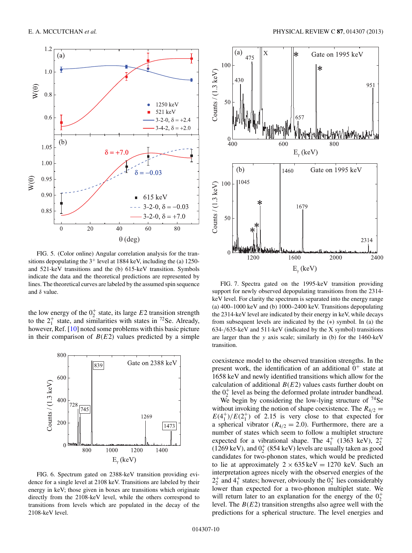<span id="page-9-0"></span>

FIG. 5. (Color online) Angular correlation analysis for the transitions depopulating the  $3^+$  level at 1884 keV, including the (a) 1250and 521-keV transitions and the (b) 615-keV transition. Symbols indicate the data and the theoretical predictions are represented by lines. The theoretical curves are labeled by the assumed spin sequence and *δ* value.

the low energy of the  $0^+_2$  state, its large  $E2$  transition strength to the  $2^+_1$  state, and similarities with states in <sup>72</sup>Se. Already, however, Ref. [\[10\]](#page-13-0) noted some problems with this basic picture in their comparison of  $B(E2)$  values predicted by a simple



FIG. 6. Spectrum gated on 2388-keV transition providing evidence for a single level at 2108 keV. Transitions are labeled by their energy in keV; those given in boxes are transitions which originate directly from the 2108-keV level, while the others correspond to transitions from levels which are populated in the decay of the 2108-keV level.



FIG. 7. Spectra gated on the 1995-keV transition providing support for newly observed depopulating transitions from the 2314 keV level. For clarity the spectrum is separated into the energy range (a) 400–1000 keV and (b) 1000–2400 keV. Transitions depopulating the 2314-keV level are indicated by their energy in keV, while decays from subsequent levels are indicated by the (∗) symbol. In (a) the 634-*/*635-keV and 511-keV (indicated by the X symbol) transitions are larger than the *y* axis scale; similarly in (b) for the 1460-keV transition.

coexistence model to the observed transition strengths. In the present work, the identification of an additional  $0^+$  state at 1658 keV and newly identified transitions which allow for the calculation of additional  $B(E2)$  values casts further doubt on the  $0^+_2$  level as being the deformed prolate intruder bandhead.

We begin by considering the low-lying structure of  $74$ Se without invoking the notion of shape coexistence. The  $R_{4/2}$  =  $E(4_1^+)/E(2_1^+)$  of 2.15 is very close to that expected for a spherical vibrator ( $R_{4/2} = 2.0$ ). Furthermore, there are a number of states which seem to follow a multiplet structure expected for a vibrational shape. The  $4^+_1$  (1363 keV),  $2^+_2$ (1269 keV), and  $0^{+}_{2}$  (854 keV) levels are usually taken as good candidates for two-phonon states, which would be predicted to lie at approximately  $2 \times 635 \text{ keV} = 1270 \text{ keV}$ . Such an interpretation agrees nicely with the observed energies of the  $2^+_2$  and  $4^+_1$  states; however, obviously the  $0^+_2$  lies considerably lower than expected for a two-phonon multiplet state. We will return later to an explanation for the energy of the  $0^+_2$ level. The *B*(*E*2) transition strengths also agree well with the predictions for a spherical structure. The level energies and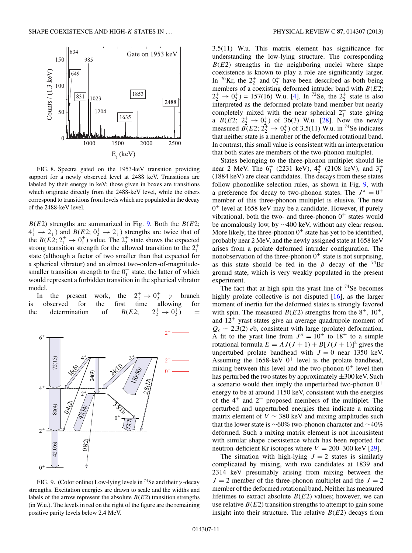<span id="page-10-0"></span>

FIG. 8. Spectra gated on the 1953-keV transition providing support for a newly observed level at 2488 keV. Transitions are labeled by their energy in keV; those given in boxes are transitions which originate directly from the 2488-keV level, while the others correspond to transitions from levels which are populated in the decay of the 2488-keV level.

 $B(E2)$  strengths are summarized in Fig. 9. Both the  $B(E2)$ ;  $4_1^+ \rightarrow 2_1^+$ ) and  $B(E2; 0_2^+ \rightarrow 2_1^+)$  strengths are twice that of the *B*(*E*2;  $2^+_1 \rightarrow 0^+_1$ ) value. The  $2^+_2$  state shows the expected strong transition strength for the allowed transition to the  $2^+_1$ state (although a factor of two smaller than that expected for a spherical vibrator) and an almost two-orders-of-magnitudesmaller transition strength to the  $0<sub>1</sub><sup>+</sup>$  state, the latter of which would represent a forbidden transition in the spherical vibrator model.

In the present work,  $\gamma_2^+ \rightarrow 0_2^+$  *γ* branch is observed for the first time allowing for the determination of  $B(E2; 2^+_2 \rightarrow 0^+_2)$  =



FIG. 9. (Color online) Low-lying levels in 74Se and their *γ* -decay strengths. Excitation energies are drawn to scale and the widths and labels of the arrow represent the absolute  $B(E2)$  transition strengths (in W.u.). The levels in red on the right of the figure are the remaining positive parity levels below 2.4 MeV.

3.5(11) W.u. This matrix element has significance for understanding the low-lying structure. The corresponding  $B(E2)$  strengths in the neighboring nuclei where shape coexistence is known to play a role are significantly larger. In <sup>76</sup>Kr, the  $2^+_2$  and  $0^+_2$  have been described as both being members of a coexisting deformed intruder band with *B*(*E*2;  $2^+_2 \rightarrow 0^+_2$ ) = 157(16) W.u. [\[4\]](#page-13-0). In <sup>72</sup>Se, the  $2^+_2$  state is also interpreted as the deformed prolate band member but nearly completely mixed with the near spherical  $2^+_1$  state giving a  $B(E2; 2^+_{2} \rightarrow 0^+_{2})$  of 36(3) W.u. [\[28\]](#page-13-0). Now the newly measured  $B(E2; 2^+_2 \rightarrow 0^+_2)$  of 3.5(11) W.u. in <sup>74</sup>Se indicates that neither state is a member of the deformed rotational band. In contrast, this small value is consistent with an interpretation that both states are members of the two-phonon multiplet.

States belonging to the three-phonon multiplet should lie near 2 MeV. The  $6^+_1$  (2231 keV),  $4^+_2$  (2108 keV), and  $3^+_1$ (1884 keV) are clear candidates. The decays from these states follow phononlike selection rules, as shown in Fig. 9, with a preference for decay to two-phonon states. The  $J^{\pi} = 0^+$ member of this three-phonon multiplet is elusive. The new  $0^+$  level at 1658 keV may be a candidate. However, if purely vibrational, both the two- and three-phonon  $0^+$  states would be anomalously low, by ∼400 keV, without any clear reason. More likely, the three-phonon  $0^+$  state has yet to be identified, probably near 2 MeV, and the newly assigned state at 1658 keV arises from a prolate deformed intruder configuration. The nonobservation of the three-phonon  $0^+$  state is not surprising, as this state should be fed in the  $\beta$  decay of the <sup>74</sup>Br ground state, which is very weakly populated in the present experiment.

The fact that at high spin the yrast line of  $74$ Se becomes highly prolate collective is not disputed  $[16]$ , as the larger moment of inertia for the deformed states is strongly favored with spin. The measured  $B(E2)$  strengths from the  $8^+$ ,  $10^+$ , and  $12<sup>+</sup>$  yrast states give an average quadrupole moment of *Qo* ∼ 2.3(2) *e*b, consistent with large (prolate) deformation. A fit to the yrast line from  $J^{\pi} = 10^{+}$  to 18<sup>+</sup> to a simple rotational formula  $E = AJ(J + 1) + B[J(J + 1)]^2$  gives the unpertubed prolate bandhead with  $J = 0$  near 1350 keV. Assuming the  $1658$ -keV  $0^+$  level is the prolate bandhead, mixing between this level and the two-phonon  $0^+$  level then has perturbed the two states by approximately  $\pm 300$  keV. Such a scenario would then imply the unperturbed two-phonon  $0^+$ energy to be at around 1150 keV, consistent with the energies of the  $4^+$  and  $2^+$  proposed members of the multiplet. The perturbed and unperturbed energies then indicate a mixing matrix element of  $V \sim 380 \text{ keV}$  and mixing amplitudes such that the lower state is ∼60% two-phonon character and ∼40% deformed. Such a mixing matrix element is not inconsistent with similar shape coexistence which has been reported for neutron-deficient Kr isotopes where  $V = 200-300$  keV [\[29\]](#page-13-0).

The situation with high-lying  $J = 2$  states is similarly complicated by mixing, with two candidates at 1839 and 2314 keV presumably arising from mixing between the  $J = 2$  member of the three-phonon multiplet and the  $J = 2$ member of the deformed rotational band. Neither has measured lifetimes to extract absolute  $B(E2)$  values; however, we can use relative  $B(E2)$  transition strengths to attempt to gain some insight into their structure. The relative  $B(E2)$  decays from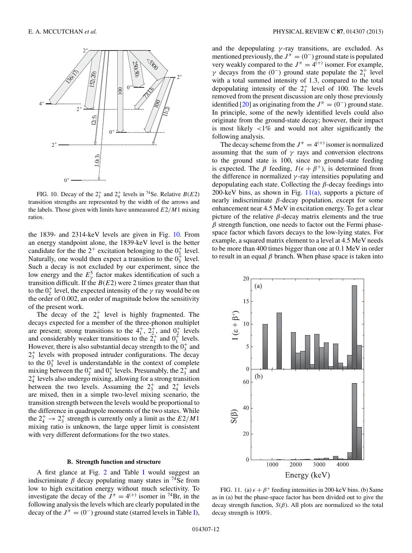<span id="page-11-0"></span>

FIG. 10. Decay of the  $2^+_3$  and  $2^+_4$  levels in <sup>74</sup>Se. Relative *B*(*E*2) transition strengths are represented by the width of the arrows and the labels. Those given with limits have unmeasured *E*2*/M*1 mixing ratios.

the 1839- and 2314-keV levels are given in Fig. 10. From an energy standpoint alone, the 1839-keV level is the better candidate for the the  $2^+$  excitation belonging to the  $0^+_3$  level. Naturally, one would then expect a transition to the  $0^+_3$  level. Such a decay is not excluded by our experiment, since the low energy and the  $E^5_\gamma$  factor makes identification of such a transition difficult. If the  $B(E2)$  were 2 times greater than that to the  $0^+_2$  level, the expected intensity of the  $\gamma$  ray would be on the order of 0.002, an order of magnitude below the sensitivity of the present work.

The decay of the  $2^+_4$  level is highly fragmented. The decays expected for a member of the three-phonon multiplet are present; strong transitions to the  $4^+_1$ ,  $2^+_2$ , and  $0^+_2$  levels and considerably weaker transitions to the  $2^+_1$  and  $0^+_1$  levels. However, there is also substantial decay strength to the  $0^+_3$  and  $2_3^+$  levels with proposed intruder configurations. The decay to the  $0_3^+$  level is understandable in the context of complete mixing between the  $0_2^+$  and  $0_3^+$  levels. Presumably, the  $2_3^+$  and 2<sup>+</sup> <sup>4</sup> levels also undergo mixing, allowing for a strong transition between the two levels. Assuming the  $2^+_3$  and  $2^+_4$  levels are mixed, then in a simple two-level mixing scenario, the transition strength between the levels would be proportional to the difference in quadrupole moments of the two states. While the  $2^+_4 \rightarrow 2^+_3$  strength is currently only a limit as the  $E2/M1$ mixing ratio is unknown, the large upper limit is consistent with very different deformations for the two states.

#### **B. Strength function and structure**

A first glance at Fig. [2](#page-6-0) and Table [I](#page-2-0) would suggest an indiscriminate  $\beta$  decay populating many states in <sup>74</sup>Se from low to high excitation energy without much selectivity. To investigate the decay of the  $J^{\pi} = 4^{(+)}$  isomer in <sup>74</sup>Br, in the following analysis the levels which are clearly populated in the decay of the  $J^{\pi} = (0^{-})$  ground state (starred levels in Table [I\)](#page-2-0),

and the depopulating *γ* -ray transitions, are excluded. As mentioned previously, the  $J^{\pi} = (0^{-})$  ground state is populated very weakly compared to the  $J^{\pi} = 4^{(+)}$  isomer. For example, *γ* decays from the  $(0^-)$  ground state populate the  $2^+_1$  level with a total summed intensity of 1.3, compared to the total depopulating intensity of the  $2^+_1$  level of 100. The levels removed from the present discussion are only those previously identified [\[20\]](#page-13-0) as originating from the  $J^{\pi} = (0^{-})$  ground state. In principle, some of the newly identified levels could also originate from the ground-state decay; however, their impact is most likely *<*1% and would not alter significantly the following analysis.

The decay scheme from the  $J^{\pi} = 4^{(+)}$  isomer is normalized assuming that the sum of  $\gamma$  rays and conversion electrons to the ground state is 100, since no ground-state feeding is expected. The  $\beta$  feeding,  $I(\epsilon + \beta^+)$ , is determined from the difference in normalized  $\gamma$ -ray intensities populating and depopulating each state. Collecting the *β*-decay feedings into 200-keV bins, as shown in Fig.  $11(a)$ , supports a picture of nearly indiscriminate *β*-decay population, except for some enhancement near 4.5 MeV in excitation energy. To get a clear picture of the relative *β*-decay matrix elements and the true *β* strength function, one needs to factor out the Fermi phasespace factor which favors decays to the low-lying states. For example, a squared matrix element to a level at 4.5 MeV needs to be more than 400 times bigger than one at 0.1 MeV in order to result in an equal *β* branch. When phase space is taken into



FIG. 11. (a)  $\epsilon + \beta^+$  feeding intensities in 200-keV bins. (b) Same as in (a) but the phase-space factor has been divided out to give the decay strength function, *S*(*β*). All plots are normalized so the total decay strength is 100%.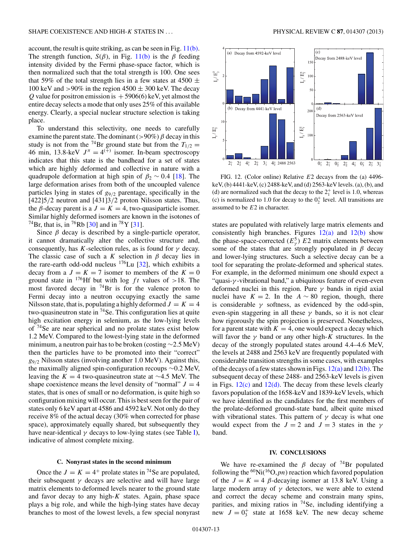account, the result is quite striking, as can be seen in Fig. [11\(b\).](#page-11-0) The strength function,  $S(\beta)$ , in Fig. [11\(b\)](#page-11-0) is the  $\beta$  feeding intensity divided by the Fermi phase-space factor, which is then normalized such that the total strength is 100. One sees that 59% of the total strength lies in a few states at 4500  $\pm$ 100 keV and  $>90\%$  in the region  $4500 \pm 300$  keV. The decay *Q* value for positron emission is  $+5906(6)$  keV, yet almost the entire decay selects a mode that only uses 25% of this available energy. Clearly, a special nuclear structure selection is taking place.

To understand this selectivity, one needs to carefully examine the parent state. The dominant  $(>90\%) \beta$  decay in this study is not from the <sup>74</sup>Br ground state but from the  $T_{1/2}$  = 46 min, 13.8-keV  $J^{\pi} = 4^{(+)}$  isomer. In-beam spectroscopy indicates that this state is the bandhead for a set of states which are highly deformed and collective in nature with a quadrupole deformation at high spin of  $\beta_2 \sim 0.4$  [\[18\]](#page-13-0). The large deformation arises from both of the uncoupled valence particles lying in states of *g*9*/*<sup>2</sup> parentage, specifically in the [422]5*/*2 neutron and [431]3*/*2 proton Nilsson states. Thus, the *β*-decay parent is a  $J = K = 4$ , two-quasiparticle isomer. Similar highly deformed isomers are known in the isotones of <sup>74</sup>Br, that is, in <sup>76</sup>Rb [\[30\]](#page-13-0) and in <sup>78</sup>Y [\[31\]](#page-13-0).

Since  $\beta$  decay is described by a single-particle operator, it cannot dramatically alter the collective structure and, consequently, has *K*-selection rules, as is found for  $\gamma$  decay. The classic case of such a *K* selection in  $\beta$  decay lies in the rare-earth odd-odd nucleus  $176$ Lu [\[32\]](#page-13-0), which exhibits a decay from a  $J = K = 7$  isomer to members of the  $K = 0$ ground state in <sup>176</sup>Hf but with log  $ft$  values of >18. The most favored decay in  $^{74}Br$  is for the valence proton to Fermi decay into a neutron occupying exactly the same Nilsson state, that is, populating a highly deformed  $J = K = 4$ two-quasineutron state in  $74$  Se. This configuration lies at quite high excitation energy in selenium, as the low-lying levels of 74Se are near spherical and no prolate states exist below 1.2 MeV. Compared to the lowest-lying state in the deformed minimum, a neutron pair has to be broken (costing ∼2.5 MeV) then the particles have to be promoted into their "correct" *g*9*/*<sup>2</sup> Nilsson states (involving another 1.0 MeV). Against this, the maximally aligned spin-configuration recoups ∼0.2 MeV, leaving the  $K = 4$  two-quasineutron state at ~4.5 MeV. The shape coexistence means the level density of "normal"  $J = 4$ states, that is ones of small or no deformation, is quite high so configuration mixing will occur. This is best seen for the pair of states only 6 keV apart at 4586 and 4592 keV. Not only do they receive 8% of the actual decay (30% when corrected for phase space), approximately equally shared, but subsequently they have near-identical  $\gamma$  decays to low-lying states (see Table [I\)](#page-2-0), indicative of almost complete mixing.

#### **C. Nonyrast states in the second minimum**

Once the  $J = K = 4^+$  prolate states in <sup>74</sup>Se are populated, their subsequent  $\gamma$  decays are selective and will have large matrix elements to deformed levels nearer to the ground state and favor decay to any high-*K* states. Again, phase space plays a big role, and while the high-lying states have decay branches to most of the lowest levels, a few special nonyrast



FIG. 12. (Color online) Relative *E*2 decays from the (a) 4496 keV, (b) 4441-keV, (c) 2488-keV, and (d) 2563-keV levels. (a), (b), and (d) are normalized such that the decay to the  $2<sub>1</sub><sup>+</sup>$  level is 1.0, whereas (c) is normalized to 1.0 for decay to the  $0^+_2$  level. All transitions are assumed to be *E*2 in character.

states are populated with relatively large matrix elements and consistently high branches. Figures  $12(a)$  and  $12(b)$  show the phase-space-corrected  $(E_{\gamma}^5)$   $E2$  matrix elements between some of the states that are strongly populated in  $\beta$  decay and lower-lying structures. Such a selective decay can be a tool for separating the prolate-deformed and spherical states. For example, in the deformed minimum one should expect a "quasi-*γ* -vibrational band," a ubiquitous feature of even-even deformed nuclei in this region. Pure *γ* bands in rigid axial nuclei have  $K = 2$ . In the  $A \sim 80$  region, though, there is considerable  $\gamma$  softness, as evidenced by the odd-spin, even-spin staggering in all these  $\gamma$  bands, so it is not clear how rigorously the spin projection is preserved. Nonetheless, for a parent state with  $K = 4$ , one would expect a decay which will favor the  $\gamma$  band or any other high-*K* structures. In the decay of the strongly populated states around 4.4–4.6 MeV, the levels at 2488 and 2563 keV are frequently populated with considerable transition strengths in some cases, with examples of the decays of a few states shown in Figs.  $12(a)$  and  $12(b)$ . The subsequent decay of these 2488- and 2563-keV levels is given in Figs.  $12(c)$  and  $12(d)$ . The decay from these levels clearly favors population of the 1658-keV and 1839-keV levels, which we have identified as the candidates for the first members of the prolate-deformed ground-state band, albeit quite mixed with vibrational states. This pattern of  $\gamma$  decay is what one would expect from the  $J = 2$  and  $J = 3$  states in the  $\gamma$ band.

### **IV. CONCLUSIONS**

We have re-examined the  $\beta$  decay of <sup>74</sup>Br populated following the  ${}^{60}$ Ni( ${}^{16}$ O,*pn*) reaction which favored population of the  $J = K = 4$   $\beta$ -decaying isomer at 13.8 keV. Using a large modern array of  $\gamma$  detectors, we were able to extend and correct the decay scheme and constrain many spins, parities, and mixing ratios in <sup>74</sup>Se, including identifying a new  $J = 0<sub>3</sub><sup>+</sup>$  state at 1658 keV. The new decay scheme